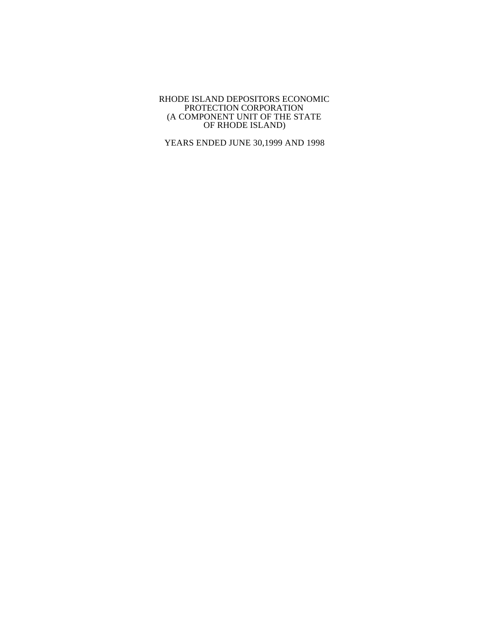YEARS ENDED JUNE 30,1999 AND 1998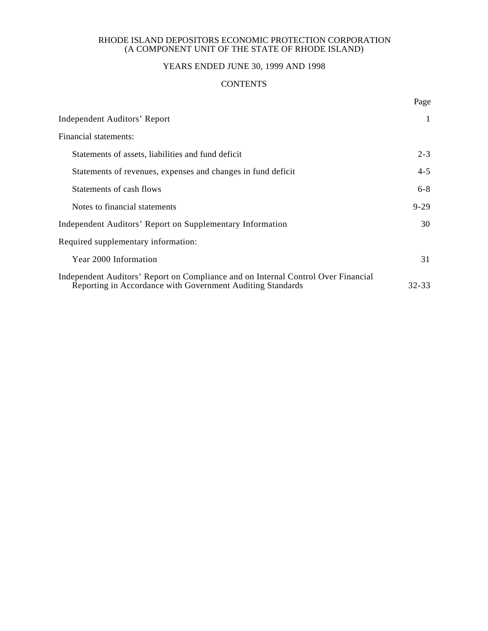# YEARS ENDED JUNE 30, 1999 AND 1998

## **CONTENTS**

Page

| <b>Independent Auditors' Report</b>                                                                                                             | 1         |
|-------------------------------------------------------------------------------------------------------------------------------------------------|-----------|
| Financial statements:                                                                                                                           |           |
| Statements of assets, liabilities and fund deficit                                                                                              | $2 - 3$   |
| Statements of revenues, expenses and changes in fund deficit                                                                                    | $4 - 5$   |
| Statements of cash flows                                                                                                                        | $6 - 8$   |
| Notes to financial statements                                                                                                                   | $9 - 29$  |
| Independent Auditors' Report on Supplementary Information                                                                                       | 30        |
| Required supplementary information:                                                                                                             |           |
| <b>Year 2000 Information</b>                                                                                                                    | 31        |
| Independent Auditors' Report on Compliance and on Internal Control Over Financial<br>Reporting in Accordance with Government Auditing Standards | $32 - 33$ |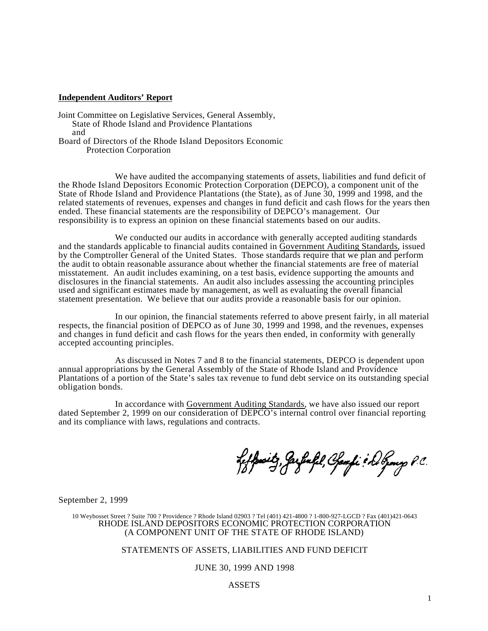#### **Independent Auditors' Report**

Joint Committee on Legislative Services, General Assembly, State of Rhode Island and Providence Plantations and Board of Directors of the Rhode Island Depositors Economic Protection Corporation

We have audited the accompanying statements of assets, liabilities and fund deficit of the Rhode Island Depositors Economic Protection Corporation (DEPCO), a component unit of the State of Rhode Island and Providence Plantations (the State), as of June 30, 1999 and 1998, and the related statements of revenues, expenses and changes in fund deficit and cash flows for the years then ended. These financial statements are the responsibility of DEPCO's management. Our responsibility is to express an opinion on these financial statements based on our audits.

We conducted our audits in accordance with generally accepted auditing standards and the standards applicable to financial audits contained in Government Auditing Standards, issued by the Comptroller General of the United States. Those standards require that we plan and perform the audit to obtain reasonable assurance about whether the financial statements are free of material misstatement. An audit includes examining, on a test basis, evidence supporting the amounts and disclosures in the financial statements. An audit also includes assessing the accounting principles used and significant estimates made by management, as well as evaluating the overall financial statement presentation. We believe that our audits provide a reasonable basis for our opinion.

In our opinion, the financial statements referred to above present fairly, in all material respects, the financial position of DEPCO as of June 30, 1999 and 1998, and the revenues, expenses and changes in fund deficit and cash flows for the years then ended, in conformity with generally accepted accounting principles.

As discussed in Notes 7 and 8 to the financial statements, DEPCO is dependent upon annual appropriations by the General Assembly of the State of Rhode Island and Providence Plantations of a portion of the State's sales tax revenue to fund debt service on its outstanding special obligation bonds.

In accordance with Government Auditing Standards, we have also issued our report dated September 2, 1999 on our consideration of DEPCO's internal control over financial reporting and its compliance with laws, regulations and contracts.

Leffenitz, Jarfinkl, Chamfi & Do Genery P.C.

September 2, 1999

10 Weybosset Street ? Suite 700 ? Providence ? Rhode Island 02903 ? Tel (401) 421-4800 ? 1-800-927-LGCD ? Fax (401)421-0643 RHODE ISLAND DEPOSITORS ECONOMIC PROTECTION CORPORATION (A COMPONENT UNIT OF THE STATE OF RHODE ISLAND)

#### STATEMENTS OF ASSETS, LIABILITIES AND FUND DEFICIT

#### JUNE 30, 1999 AND 1998

#### ASSETS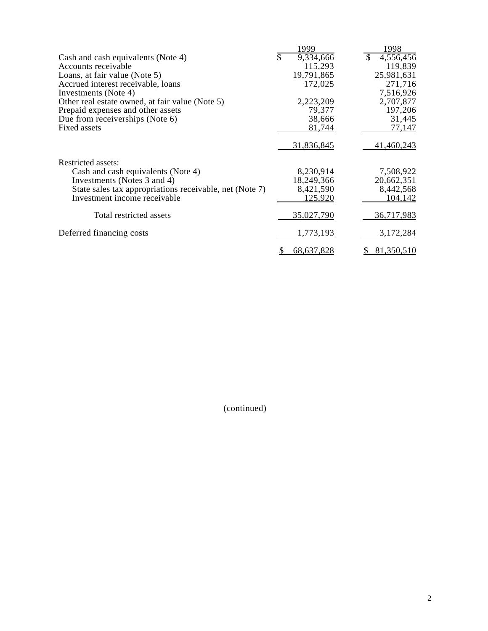|                                                         | 1999             | 1998                       |
|---------------------------------------------------------|------------------|----------------------------|
| Cash and cash equivalents (Note 4)                      | \$<br>9,334,666  | <sup>\$</sup><br>4,556,456 |
| Accounts receivable                                     | 115,293          | 119,839                    |
| Loans, at fair value (Note 5)                           | 19,791,865       | 25,981,631                 |
| Accrued interest receivable, loans                      | 172,025          | 271,716                    |
| Investments (Note 4)                                    |                  | 7,516,926                  |
| Other real estate owned, at fair value (Note 5)         | 2,223,209        | 2,707,877                  |
| Prepaid expenses and other assets                       | 79,377           | 197,206                    |
| Due from receiverships (Note 6)                         | 38,666           | 31,445                     |
| Fixed assets                                            | 81,744           | 77,147                     |
|                                                         | 31,836,845       | 41,460,243                 |
| Restricted assets:                                      |                  |                            |
| Cash and cash equivalents (Note 4)                      | 8,230,914        | 7,508,922                  |
| Investments (Notes 3 and 4)                             | 18,249,366       | 20,662,351                 |
| State sales tax appropriations receivable, net (Note 7) | 8,421,590        | 8,442,568                  |
| Investment income receivable                            | 125,920          | 104,142                    |
| Total restricted assets                                 | 35,027,790       | 36,717,983                 |
| Deferred financing costs                                | 1,773,193        | 3,172,284                  |
|                                                         | 68,637,828<br>\$ | 81,350,510<br>S.           |

(continued)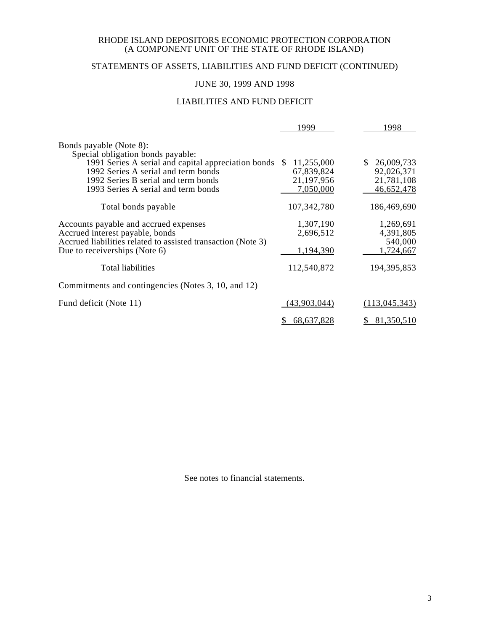# STATEMENTS OF ASSETS, LIABILITIES AND FUND DEFICIT (CONTINUED)

# JUNE 30, 1999 AND 1998

## LIABILITIES AND FUND DEFICIT

|                                                                                               | 1999              | 1998                 |
|-----------------------------------------------------------------------------------------------|-------------------|----------------------|
| Bonds payable (Note 8):<br>Special obligation bonds payable:                                  |                   |                      |
| 1991 Series A serial and capital appreciation bonds                                           | 11,255,000<br>-SS | 26,009,733           |
| 1992 Series A serial and term bonds                                                           | 67,839,824        | 92,026,371           |
| 1992 Series B serial and term bonds                                                           | 21,197,956        | 21,781,108           |
| 1993 Series A serial and term bonds                                                           | 7,050,000         | 46,652,478           |
| Total bonds payable                                                                           | 107,342,780       | 186,469,690          |
| Accounts payable and accrued expenses                                                         | 1,307,190         | 1,269,691            |
| Accrued interest payable, bonds                                                               | 2,696,512         | 4,391,805            |
| Accrued liabilities related to assisted transaction (Note 3)<br>Due to receiverships (Note 6) | 1,194,390         | 540,000<br>1,724,667 |
| Total liabilities                                                                             | 112,540,872       | 194, 395, 853        |
| Commitments and contingencies (Notes 3, 10, and 12)                                           |                   |                      |
| Fund deficit (Note 11)                                                                        | (43,903,044)      | (113, 045, 343)      |
|                                                                                               | 68,637,828        | 81,350,510           |

See notes to financial statements.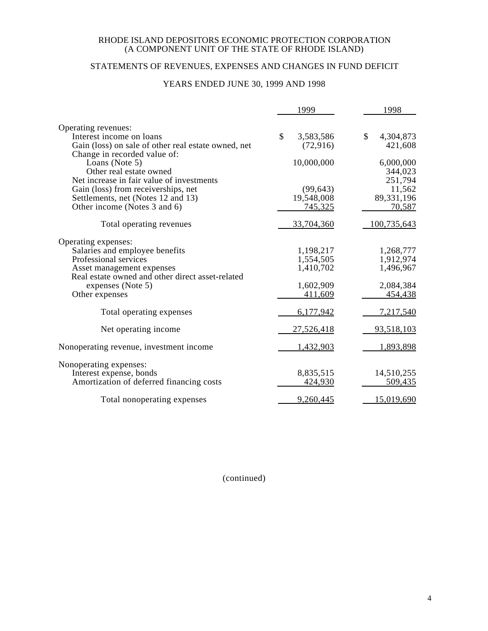# STATEMENTS OF REVENUES, EXPENSES AND CHANGES IN FUND DEFICIT

## YEARS ENDED JUNE 30, 1999 AND 1998

|                                                     | 1999                 | 1998              |
|-----------------------------------------------------|----------------------|-------------------|
| Operating revenues:                                 |                      |                   |
| Interest income on loans                            | \$<br>3,583,586      | \$<br>4,304,873   |
| Gain (loss) on sale of other real estate owned, net | (72, 916)            | 421,608           |
| Change in recorded value of:                        |                      |                   |
| Loans (Note 5)                                      | 10,000,000           | 6,000,000         |
| Other real estate owned                             |                      | 344,023           |
| Net increase in fair value of investments           |                      | 251,794           |
| Gain (loss) from receiverships, net                 | (99, 643)            | 11,562            |
| Settlements, net (Notes 12 and 13)                  | 19,548,008           | 89,331,196        |
| Other income (Notes 3 and 6)                        | <u>745,325</u>       | 70,587            |
|                                                     |                      |                   |
| Total operating revenues                            | 33,704,360           | 100,735,643       |
| Operating expenses:                                 |                      |                   |
| Salaries and employee benefits                      | 1,198,217            | 1,268,777         |
| Professional services                               | 1,554,505            | 1,912,974         |
| Asset management expenses                           | 1,410,702            | 1,496,967         |
| Real estate owned and other direct asset-related    |                      |                   |
| expenses (Note 5)                                   | 1,602,909            | 2,084,384         |
| Other expenses                                      | 411,609              | 454,438           |
| Total operating expenses                            | 6,177,942            | 7,217,540         |
| Net operating income                                | 27,526,418           | 93,518,103        |
| Nonoperating revenue, investment income             | 1,432,903            | 1,893,898         |
|                                                     |                      |                   |
| Nonoperating expenses:                              |                      |                   |
| Interest expense, bonds                             | 8,835,515<br>424,930 | 14,510,255        |
| Amortization of deferred financing costs            |                      | 509,435           |
| Total nonoperating expenses                         | 9,260,445            | <u>15,019,690</u> |

(continued)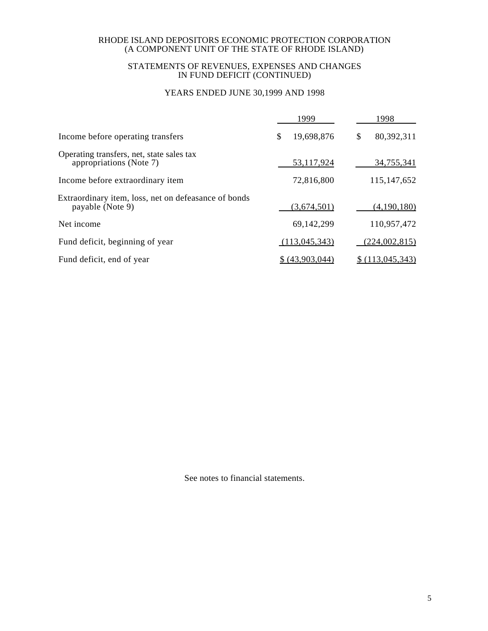### STATEMENTS OF REVENUES, EXPENSES AND CHANGES IN FUND DEFICIT (CONTINUED)

# YEARS ENDED JUNE 30,1999 AND 1998

| 19,698,876<br>\$ | 80,392,311                                                                                  |
|------------------|---------------------------------------------------------------------------------------------|
|                  |                                                                                             |
|                  | 34,755,341                                                                                  |
|                  | 115,147,652                                                                                 |
|                  | (4,190,180)                                                                                 |
|                  | 110,957,472                                                                                 |
|                  | (224,002,815)                                                                               |
|                  | \$(113,045,343)                                                                             |
|                  | 53,117,924<br>72,816,800<br>(3,674,501)<br>69,142,299<br>(113, 045, 343)<br>\$ (43,903,044) |

See notes to financial statements.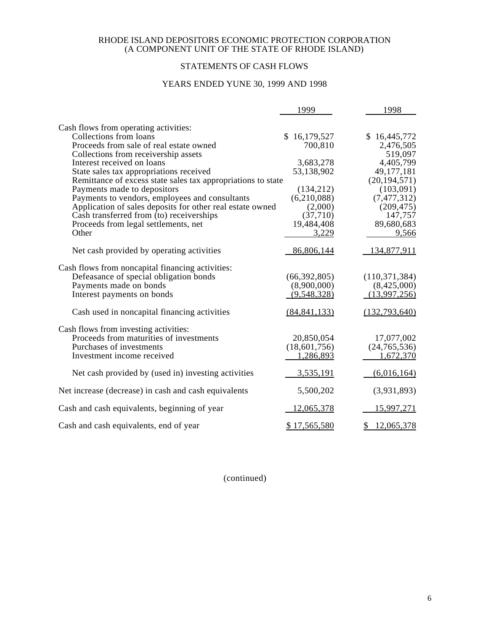# STATEMENTS OF CASH FLOWS

## YEARS ENDED YUNE 30, 1999 AND 1998

|                                                              | 1999           | 1998            |
|--------------------------------------------------------------|----------------|-----------------|
| Cash flows from operating activities:                        |                |                 |
| Collections from loans                                       | \$16,179,527   | \$16,445,772    |
| Proceeds from sale of real estate owned                      | 700,810        | 2,476,505       |
| Collections from receivership assets                         |                | 519,097         |
| Interest received on loans                                   | 3,683,278      | 4,405,799       |
| State sales tax appropriations received                      | 53,138,902     | 49, 177, 181    |
| Remittance of excess state sales tax appropriations to state |                | (20, 194, 571)  |
| Payments made to depositors                                  | (134, 212)     | (103,091)       |
| Payments to vendors, employees and consultants               | (6,210,088)    | (7, 477, 312)   |
| Application of sales deposits for other real estate owned    | (2,000)        | (209, 475)      |
| Cash transferred from (to) receiverships                     | (37,710)       | 147,757         |
| Proceeds from legal settlements, net                         | 19,484,408     | 89,680,683      |
| Other                                                        | 3,229          | 9,566           |
| Net cash provided by operating activities                    | 86,806,144     | 134,877,911     |
| Cash flows from noncapital financing activities:             |                |                 |
| Defeasance of special obligation bonds                       | (66, 392, 805) | (110, 371, 384) |
| Payments made on bonds                                       | (8,900,000)    | (8,425,000)     |
| Interest payments on bonds                                   | (9,548,328)    | (13,997,256)    |
| Cash used in noncapital financing activities                 | (84, 841, 133) | (132, 793, 640) |
| Cash flows from investing activities:                        |                |                 |
| Proceeds from maturities of investments                      | 20,850,054     | 17,077,002      |
| Purchases of investments                                     | (18,601,756)   | (24, 765, 536)  |
| Investment income received                                   | 1,286,893      | 1,672,370       |
| Net cash provided by (used in) investing activities          | 3,535,191      | (6,016,164)     |
| Net increase (decrease) in cash and cash equivalents         | 5,500,202      | (3,931,893)     |
| Cash and cash equivalents, beginning of year                 | 12,065,378     | 15,997,271      |
| Cash and cash equivalents, end of year                       | \$17,565,580   | \$12,065,378    |

(continued)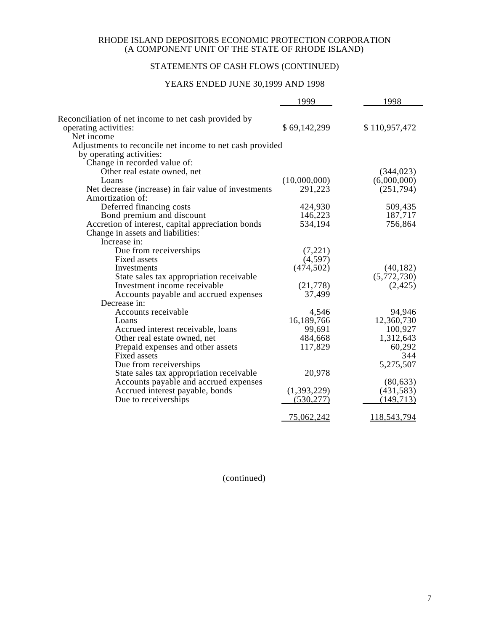# STATEMENTS OF CASH FLOWS (CONTINUED)

## YEARS ENDED JUNE 30,1999 AND 1998

|                                                                               | 1999         | 1998          |
|-------------------------------------------------------------------------------|--------------|---------------|
| Reconciliation of net income to net cash provided by<br>operating activities: | \$69,142,299 | \$110,957,472 |
| Net income                                                                    |              |               |
| Adjustments to reconcile net income to net cash provided                      |              |               |
| by operating activities:                                                      |              |               |
| Change in recorded value of:                                                  |              |               |
| Other real estate owned, net                                                  |              | (344, 023)    |
| Loans                                                                         | (10,000,000) | (6,000,000)   |
| Net decrease (increase) in fair value of investments                          | 291,223      | (251, 794)    |
| Amortization of:                                                              |              |               |
| Deferred financing costs                                                      | 424,930      | 509,435       |
| Bond premium and discount                                                     | 146,223      | 187,717       |
| Accretion of interest, capital appreciation bonds                             | 534,194      | 756,864       |
| Change in assets and liabilities:                                             |              |               |
| Increase in:                                                                  |              |               |
| Due from receiverships                                                        | (7,221)      |               |
| <b>Fixed assets</b>                                                           | (4,597)      |               |
| Investments                                                                   | (474, 502)   | (40, 182)     |
| State sales tax appropriation receivable                                      |              | (5,772,730)   |
| Investment income receivable                                                  | (21, 778)    | (2, 425)      |
| Accounts payable and accrued expenses                                         | 37,499       |               |
| Decrease in:                                                                  |              |               |
| Accounts receivable                                                           | 4,546        | 94,946        |
| Loans                                                                         | 16,189,766   | 12,360,730    |
| Accrued interest receivable, loans                                            | 99,691       | 100,927       |
| Other real estate owned, net                                                  | 484,668      | 1,312,643     |
| Prepaid expenses and other assets                                             | 117,829      | 60,292        |
| <b>Fixed assets</b>                                                           |              | 344           |
| Due from receiverships                                                        |              | 5,275,507     |
| State sales tax appropriation receivable                                      | 20,978       |               |
| Accounts payable and accrued expenses                                         |              | (80, 633)     |
| Accrued interest payable, bonds                                               | (1,393,229)  | (431, 583)    |
| Due to receiverships                                                          | (530, 277)   | (149, 713)    |
|                                                                               | 75,062,242   | 118,543,794   |
|                                                                               |              |               |

(continued)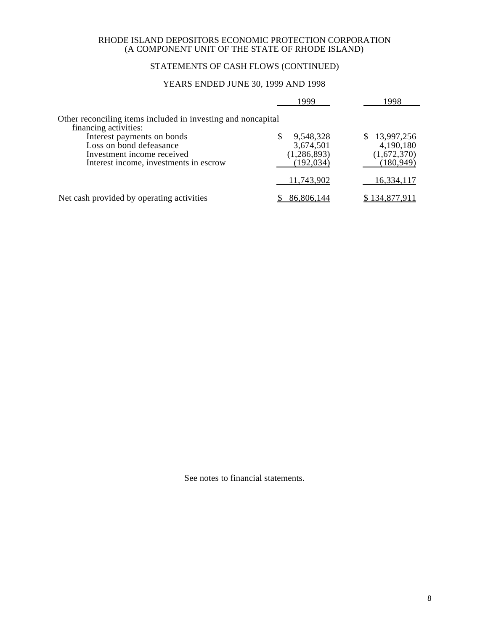## STATEMENTS OF CASH FLOWS (CONTINUED)

## YEARS ENDED JUNE 30, 1999 AND 1998

|                                                                                                                               |     | 1999                                                  | 1998                                                   |
|-------------------------------------------------------------------------------------------------------------------------------|-----|-------------------------------------------------------|--------------------------------------------------------|
| Other reconciling items included in investing and noncapital<br>financing activities:                                         |     |                                                       |                                                        |
| Interest payments on bonds<br>Loss on bond defeasance<br>Investment income received<br>Interest income, investments in escrow | \$. | 9,548,328<br>3,674,501<br>(1, 286, 893)<br>(192, 034) | \$13,997,256<br>4,190,180<br>(1,672,370)<br>(180, 949) |
|                                                                                                                               |     | 11,743,902                                            | 16,334,117                                             |
| Net cash provided by operating activities                                                                                     |     | 86,806,144                                            | \$134,877,911                                          |

See notes to financial statements.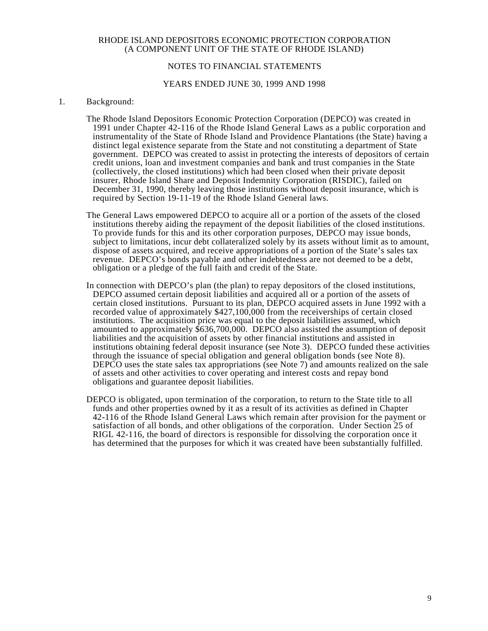## NOTES TO FINANCIAL STATEMENTS

#### YEARS ENDED JUNE 30, 1999 AND 1998

#### 1. Background:

- The Rhode Island Depositors Economic Protection Corporation (DEPCO) was created in 1991 under Chapter 42-116 of the Rhode Island General Laws as a public corporation and instrumentality of the State of Rhode Island and Providence Plantations (the State) having a distinct legal existence separate from the State and not constituting a department of State government. DEPCO was created to assist in protecting the interests of depositors of certain credit unions, loan and investment companies and bank and trust companies in the State (collectively, the closed institutions) which had been closed when their private deposit insurer, Rhode Island Share and Deposit Indemnity Corporation (RISDIC), failed on December 31, 1990, thereby leaving those institutions without deposit insurance, which is required by Section 19-11-19 of the Rhode Island General laws.
- The General Laws empowered DEPCO to acquire all or a portion of the assets of the closed institutions thereby aiding the repayment of the deposit liabilities of the closed institutions. To provide funds for this and its other corporation purposes, DEPCO may issue bonds, subject to limitations, incur debt collateralized solely by its assets without limit as to amount, dispose of assets acquired, and receive appropriations of a portion of the State's sales tax revenue. DEPCO's bonds payable and other indebtedness are not deemed to be a debt, obligation or a pledge of the full faith and credit of the State.
- In connection with DEPCO's plan (the plan) to repay depositors of the closed institutions, DEPCO assumed certain deposit liabilities and acquired all or a portion of the assets of certain closed institutions. Pursuant to its plan, DEPCO acquired assets in June 1992 with a recorded value of approximately \$427,100,000 from the receiverships of certain closed institutions. The acquisition price was equal to the deposit liabilities assumed, which amounted to approximately \$636,700,000. DEPCO also assisted the assumption of deposit liabilities and the acquisition of assets by other financial institutions and assisted in institutions obtaining federal deposit insurance (see Note 3). DEPCO funded these activities through the issuance of special obligation and general obligation bonds (see Note 8). DEPCO uses the state sales tax appropriations (see Note 7) and amounts realized on the sale of assets and other activities to cover operating and interest costs and repay bond obligations and guarantee deposit liabilities.
- DEPCO is obligated, upon termination of the corporation, to return to the State title to all funds and other properties owned by it as a result of its activities as defined in Chapter 42-116 of the Rhode Island General Laws which remain after provision for the payment or satisfaction of all bonds, and other obligations of the corporation. Under Section 25 of RIGL 42-116, the board of directors is responsible for dissolving the corporation once it has determined that the purposes for which it was created have been substantially fulfilled.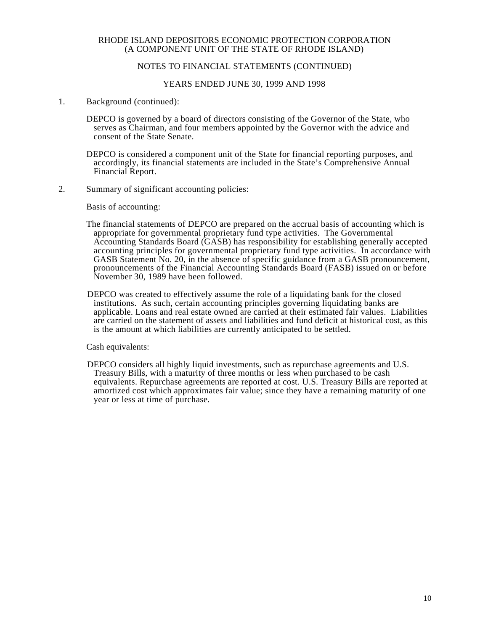## NOTES TO FINANCIAL STATEMENTS (CONTINUED)

### YEARS ENDED JUNE 30, 1999 AND 1998

1. Background (continued):

DEPCO is governed by a board of directors consisting of the Governor of the State, who serves as Chairman, and four members appointed by the Governor with the advice and consent of the State Senate.

DEPCO is considered a component unit of the State for financial reporting purposes, and accordingly, its financial statements are included in the State's Comprehensive Annual Financial Report.

2. Summary of significant accounting policies:

Basis of accounting:

- The financial statements of DEPCO are prepared on the accrual basis of accounting which is appropriate for governmental proprietary fund type activities. The Governmental Accounting Standards Board (GASB) has responsibility for establishing generally accepted accounting principles for governmental proprietary fund type activities. In accordance with GASB Statement No. 20, in the absence of specific guidance from a GASB pronouncement, pronouncements of the Financial Accounting Standards Board (FASB) issued on or before November 30, 1989 have been followed.
- DEPCO was created to effectively assume the role of a liquidating bank for the closed institutions. As such, certain accounting principles governing liquidating banks are applicable. Loans and real estate owned are carried at their estimated fair values. Liabilities are carried on the statement of assets and liabilities and fund deficit at historical cost, as this is the amount at which liabilities are currently anticipated to be settled.

Cash equivalents:

DEPCO considers all highly liquid investments, such as repurchase agreements and U.S. Treasury Bills, with a maturity of three months or less when purchased to be cash equivalents. Repurchase agreements are reported at cost. U.S. Treasury Bills are reported at amortized cost which approximates fair value; since they have a remaining maturity of one year or less at time of purchase.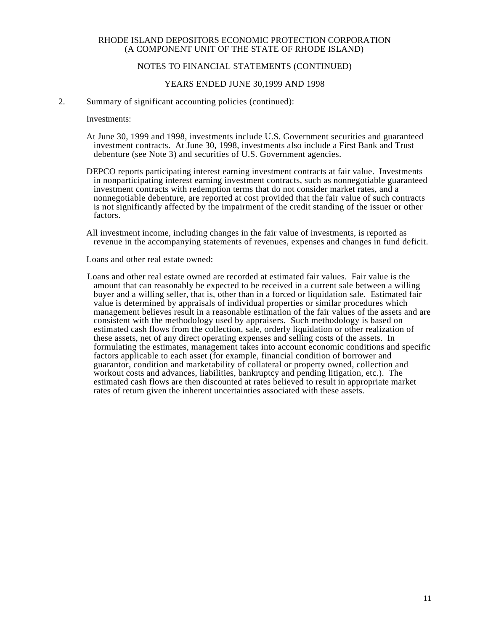## NOTES TO FINANCIAL STATEMENTS (CONTINUED)

#### YEARS ENDED JUNE 30,1999 AND 1998

2. Summary of significant accounting policies (continued):

Investments:

- At June 30, 1999 and 1998, investments include U.S. Government securities and guaranteed investment contracts. At June 30, 1998, investments also include a First Bank and Trust debenture (see Note 3) and securities of U.S. Government agencies.
- DEPCO reports participating interest earning investment contracts at fair value. Investments in nonparticipating interest earning investment contracts, such as nonnegotiable guaranteed investment contracts with redemption terms that do not consider market rates, and a nonnegotiable debenture, are reported at cost provided that the fair value of such contracts is not significantly affected by the impairment of the credit standing of the issuer or other factors.
- All investment income, including changes in the fair value of investments, is reported as revenue in the accompanying statements of revenues, expenses and changes in fund deficit.

Loans and other real estate owned:

Loans and other real estate owned are recorded at estimated fair values. Fair value is the amount that can reasonably be expected to be received in a current sale between a willing buyer and a willing seller, that is, other than in a forced or liquidation sale. Estimated fair value is determined by appraisals of individual properties or similar procedures which management believes result in a reasonable estimation of the fair values of the assets and are consistent with the methodology used by appraisers. Such methodology is based on estimated cash flows from the collection, sale, orderly liquidation or other realization of these assets, net of any direct operating expenses and selling costs of the assets. In formulating the estimates, management takes into account economic conditions and specific factors applicable to each asset (for example, financial condition of borrower and guarantor, condition and marketability of collateral or property owned, collection and workout costs and advances, liabilities, bankruptcy and pending litigation, etc.). The estimated cash flows are then discounted at rates believed to result in appropriate market rates of return given the inherent uncertainties associated with these assets.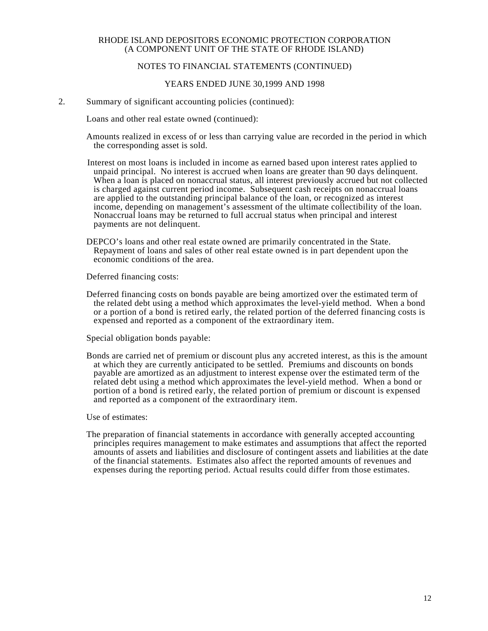## NOTES TO FINANCIAL STATEMENTS (CONTINUED)

### YEARS ENDED JUNE 30,1999 AND 1998

2. Summary of significant accounting policies (continued):

Loans and other real estate owned (continued):

Amounts realized in excess of or less than carrying value are recorded in the period in which the corresponding asset is sold.

Interest on most loans is included in income as earned based upon interest rates applied to unpaid principal. No interest is accrued when loans are greater than 90 days delinquent. When a loan is placed on nonaccrual status, all interest previously accrued but not collected is charged against current period income. Subsequent cash receipts on nonaccrual loans are applied to the outstanding principal balance of the loan, or recognized as interest income, depending on management's assessment of the ultimate collectibility of the loan. Nonaccrual loans may be returned to full accrual status when principal and interest payments are not delinquent.

DEPCO's loans and other real estate owned are primarily concentrated in the State. Repayment of loans and sales of other real estate owned is in part dependent upon the economic conditions of the area.

Deferred financing costs:

Deferred financing costs on bonds payable are being amortized over the estimated term of the related debt using a method which approximates the level-yield method. When a bond or a portion of a bond is retired early, the related portion of the deferred financing costs is expensed and reported as a component of the extraordinary item.

Special obligation bonds payable:

Bonds are carried net of premium or discount plus any accreted interest, as this is the amount at which they are currently anticipated to be settled. Premiums and discounts on bonds payable are amortized as an adjustment to interest expense over the estimated term of the related debt using a method which approximates the level-yield method. When a bond or portion of a bond is retired early, the related portion of premium or discount is expensed and reported as a component of the extraordinary item.

Use of estimates:

The preparation of financial statements in accordance with generally accepted accounting principles requires management to make estimates and assumptions that affect the reported amounts of assets and liabilities and disclosure of contingent assets and liabilities at the date of the financial statements. Estimates also affect the reported amounts of revenues and expenses during the reporting period. Actual results could differ from those estimates.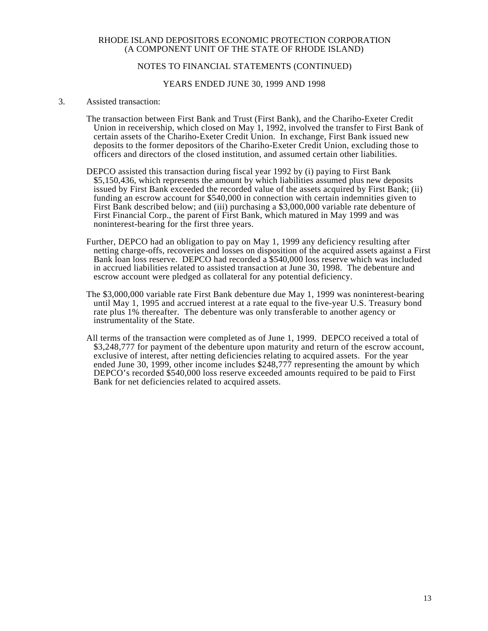## NOTES TO FINANCIAL STATEMENTS (CONTINUED)

#### YEARS ENDED JUNE 30, 1999 AND 1998

#### 3. Assisted transaction:

- The transaction between First Bank and Trust (First Bank), and the Chariho-Exeter Credit Union in receivership, which closed on May 1, 1992, involved the transfer to First Bank of certain assets of the Chariho-Exeter Credit Union. In exchange, First Bank issued new deposits to the former depositors of the Chariho-Exeter Credit Union, excluding those to officers and directors of the closed institution, and assumed certain other liabilities.
- DEPCO assisted this transaction during fiscal year 1992 by (i) paying to First Bank \$5,150,436, which represents the amount by which liabilities assumed plus new deposits issued by First Bank exceeded the recorded value of the assets acquired by First Bank; (ii) funding an escrow account for \$540,000 in connection with certain indemnities given to First Bank described below; and (iii) purchasing a \$3,000,000 variable rate debenture of First Financial Corp., the parent of First Bank, which matured in May 1999 and was noninterest-bearing for the first three years.
- Further, DEPCO had an obligation to pay on May 1, 1999 any deficiency resulting after netting charge-offs, recoveries and losses on disposition of the acquired assets against a First Bank loan loss reserve. DEPCO had recorded a \$540,000 loss reserve which was included in accrued liabilities related to assisted transaction at June 30, 1998. The debenture and escrow account were pledged as collateral for any potential deficiency.
- The \$3,000,000 variable rate First Bank debenture due May 1, 1999 was noninterest-bearing until May 1, 1995 and accrued interest at a rate equal to the five-year U.S. Treasury bond rate plus 1% thereafter. The debenture was only transferable to another agency or instrumentality of the State.
- All terms of the transaction were completed as of June 1, 1999. DEPCO received a total of \$3,248,777 for payment of the debenture upon maturity and return of the escrow account, exclusive of interest, after netting deficiencies relating to acquired assets. For the year ended June 30, 1999, other income includes \$248,777 representing the amount by which DEPCO's recorded \$540,000 loss reserve exceeded amounts required to be paid to First Bank for net deficiencies related to acquired assets.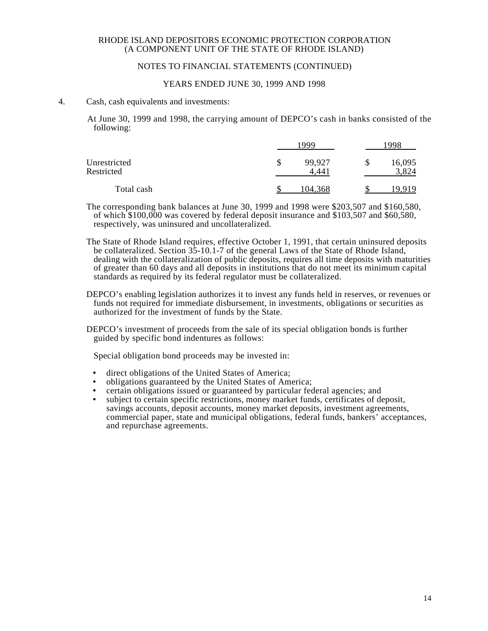## NOTES TO FINANCIAL STATEMENTS (CONTINUED)

#### YEARS ENDED JUNE 30, 1999 AND 1998

#### 4. Cash, cash equivalents and investments:

At June 30, 1999 and 1998, the carrying amount of DEPCO's cash in banks consisted of the following:

|                            | 1999 |                 |   | 1998            |  |
|----------------------------|------|-----------------|---|-----------------|--|
| Unrestricted<br>Restricted | S    | 99,927<br>4.441 | S | 16,095<br>3,824 |  |
| Total cash                 |      | 104,368         |   | 10 O 10         |  |

The corresponding bank balances at June 30, 1999 and 1998 were \$203,507 and \$160,580, of which \$100,000 was covered by federal deposit insurance and \$103,507 and \$60,580, respectively, was uninsured and uncollateralized.

The State of Rhode Island requires, effective October 1, 1991, that certain uninsured deposits be collateralized. Section 35-10.1-7 of the general Laws of the State of Rhode Island, dealing with the collateralization of public deposits, requires all time deposits with maturities of greater than 60 days and all deposits in institutions that do not meet its minimum capital standards as required by its federal regulator must be collateralized.

DEPCO's enabling legislation authorizes it to invest any funds held in reserves, or revenues or funds not required for immediate disbursement, in investments, obligations or securities as authorized for the investment of funds by the State.

DEPCO's investment of proceeds from the sale of its special obligation bonds is further guided by specific bond indentures as follows:

Special obligation bond proceeds may be invested in:

- direct obligations of the United States of America;
- obligations guaranteed by the United States of America;
- certain obligations issued or guaranteed by particular federal agencies; and
- subject to certain specific restrictions, money market funds, certificates of deposit, savings accounts, deposit accounts, money market deposits, investment agreements, commercial paper, state and municipal obligations, federal funds, bankers' acceptances, and repurchase agreements.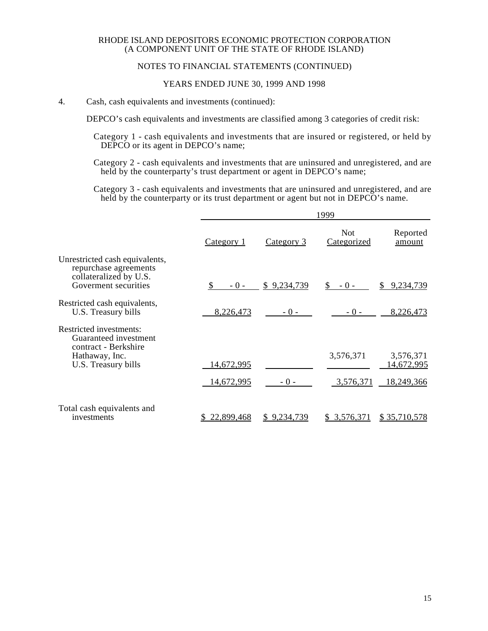## NOTES TO FINANCIAL STATEMENTS (CONTINUED)

## YEARS ENDED JUNE 30, 1999 AND 1998

#### 4. Cash, cash equivalents and investments (continued):

DEPCO's cash equivalents and investments are classified among 3 categories of credit risk:

Category 1 - cash equivalents and investments that are insured or registered, or held by DEPCO or its agent in DEPCO's name;

Category 2 - cash equivalents and investments that are uninsured and unregistered, and are held by the counterparty's trust department or agent in DEPCO's name;

Category 3 - cash equivalents and investments that are uninsured and unregistered, and are held by the counterparty or its trust department or agent but not in DEPCO's name.

|                                                                                                                   |                  |                   | 1999                      |                         |
|-------------------------------------------------------------------------------------------------------------------|------------------|-------------------|---------------------------|-------------------------|
|                                                                                                                   | Category 1       | <u>Category 3</u> | <b>Not</b><br>Categorized | Reported<br>amount      |
| Unrestricted cash equivalents,<br>repurchase agreements<br>collateralized by U.S.<br>Goverment securities         | $-0-$            | \$9,234,739       | $-0-$                     | 9,234,739<br>\$.        |
| Restricted cash equivalents,<br>U.S. Treasury bills                                                               | 8,226,473        | $-0-$             | $-0-$                     | 8,226,473               |
| Restricted investments:<br>Guaranteed investment<br>contract - Berkshire<br>Hathaway, Inc.<br>U.S. Treasury bills | 14,672,995       |                   | 3,576,371                 | 3,576,371<br>14,672,995 |
|                                                                                                                   | 14,672,995       | $-0-$             | 3,576,371                 | 18,249,366              |
| Total cash equivalents and<br>investments                                                                         | 22,899,468<br>S. | \$9,234,739       | \$ 3,576,371              | \$35,710,578            |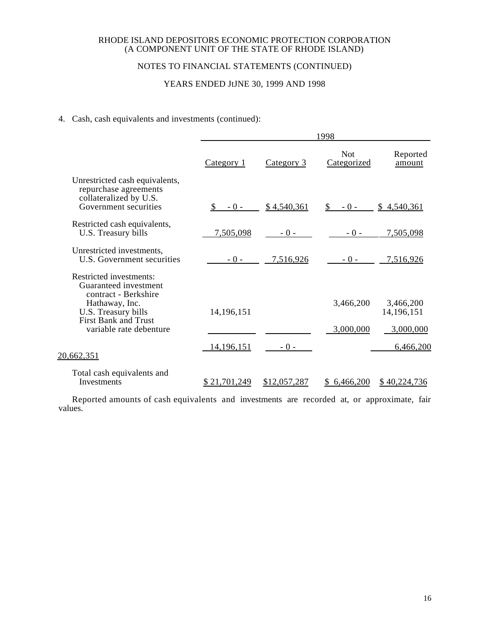## NOTES TO FINANCIAL STATEMENTS (CONTINUED)

# YEARS ENDED JUNE 30, 1999 AND 1998

## 4. Cash, cash equivalents and investments (continued):

|                                                                                                                                                                             | 1998                   |              |                           |                                        |
|-----------------------------------------------------------------------------------------------------------------------------------------------------------------------------|------------------------|--------------|---------------------------|----------------------------------------|
|                                                                                                                                                                             | Category 1             | Category 3   | <b>Not</b><br>Categorized | Reported<br>amount                     |
| Unrestricted cash equivalents,<br>repurchase agreements<br>collateralized by U.S.<br>Government securities                                                                  | <sup>\$</sup><br>$-0-$ | \$4,540,361  | $-0-$<br>S.               | \$4,540,361                            |
| Restricted cash equivalents,<br>U.S. Treasury bills                                                                                                                         | 7,505,098              | $-0-$        | $-0-$                     | 7,505,098                              |
| Unrestricted investments,<br><b>U.S. Government securities</b>                                                                                                              | $-0-$                  | 7,516,926    | $-0-$                     | 7,516,926                              |
| Restricted investments:<br>Guaranteed investment<br>contract - Berkshire<br>Hathaway, Inc.<br>U.S. Treasury bills<br><b>First Bank and Trust</b><br>variable rate debenture | 14, 196, 151           |              | 3,466,200<br>3,000,000    | 3,466,200<br>14, 196, 151<br>3,000,000 |
| 20,662,351                                                                                                                                                                  | 14,196,151             | $-0-$        |                           | 6,466,200                              |
| Total cash equivalents and<br><b>Investments</b>                                                                                                                            | \$21,701,249           | \$12,057,287 | \$ 6,466,200              | \$40,224,736                           |

Reported amounts of cash equivalents and investments are recorded at, or approximate, fair values.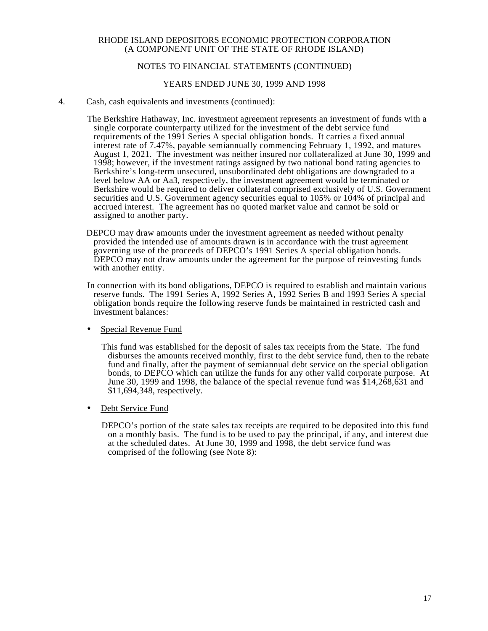## NOTES TO FINANCIAL STATEMENTS (CONTINUED)

#### YEARS ENDED JUNE 30, 1999 AND 1998

4. Cash, cash equivalents and investments (continued):

The Berkshire Hathaway, Inc. investment agreement represents an investment of funds with a single corporate counterparty utilized for the investment of the debt service fund requirements of the 1991 Series A special obligation bonds. It carries a fixed annual interest rate of 7.47%, payable semiannually commencing February 1, 1992, and matures August 1, 2021. The investment was neither insured nor collateralized at June 30, 1999 and 1998; however, if the investment ratings assigned by two national bond rating agencies to Berkshire's long-term unsecured, unsubordinated debt obligations are downgraded to a level below AA or Aa3, respectively, the investment agreement would be terminated or Berkshire would be required to deliver collateral comprised exclusively of U.S. Government securities and U.S. Government agency securities equal to 105% or 104% of principal and accrued interest. The agreement has no quoted market value and cannot be sold or assigned to another party.

- DEPCO may draw amounts under the investment agreement as needed without penalty provided the intended use of amounts drawn is in accordance with the trust agreement governing use of the proceeds of DEPCO's 1991 Series A special obligation bonds. DEPCO may not draw amounts under the agreement for the purpose of reinvesting funds with another entity.
- In connection with its bond obligations, DEPCO is required to establish and maintain various reserve funds. The 1991 Series A, 1992 Series A, 1992 Series B and 1993 Series A special obligation bonds require the following reserve funds be maintained in restricted cash and investment balances:
- Special Revenue Fund

This fund was established for the deposit of sales tax receipts from the State. The fund disburses the amounts received monthly, first to the debt service fund, then to the rebate fund and finally, after the payment of semiannual debt service on the special obligation bonds, to DEPCO which can utilize the funds for any other valid corporate purpose. At June 30, 1999 and 1998, the balance of the special revenue fund was \$14,268,631 and \$11,694,348, respectively.

• Debt Service Fund

DEPCO's portion of the state sales tax receipts are required to be deposited into this fund on a monthly basis. The fund is to be used to pay the principal, if any, and interest due at the scheduled dates. At June 30, 1999 and 1998, the debt service fund was comprised of the following (see Note 8):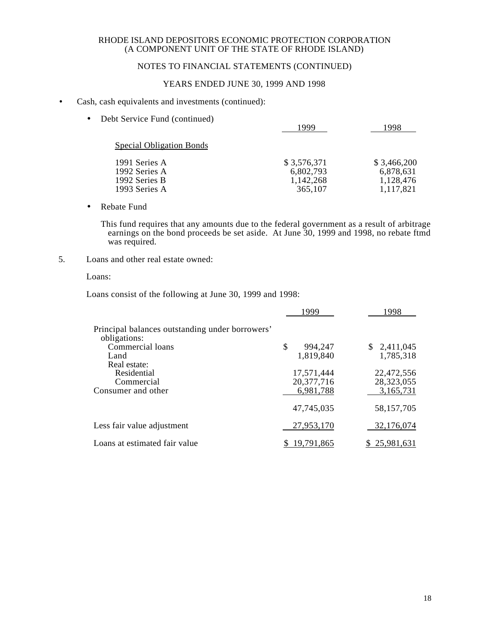## NOTES TO FINANCIAL STATEMENTS (CONTINUED)

## YEARS ENDED JUNE 30, 1999 AND 1998

### • Cash, cash equivalents and investments (continued):

| Debt Service Fund (continued)<br>$\bullet$                       | 1999                                             | 1998                                               |
|------------------------------------------------------------------|--------------------------------------------------|----------------------------------------------------|
| <b>Special Obligation Bonds</b>                                  |                                                  |                                                    |
| 1991 Series A<br>1992 Series A<br>1992 Series B<br>1993 Series A | \$3,576,371<br>6,802,793<br>1,142,268<br>365,107 | \$3,466,200<br>6,878,631<br>1,128,476<br>1,117,821 |

• Rebate Fund

This fund requires that any amounts due to the federal government as a result of arbitrage earnings on the bond proceeds be set aside. At June 30, 1999 and 1998, no rebate ftmd was required.

5. Loans and other real estate owned:

## Loans:

Loans consist of the following at June 30, 1999 and 1998:

|                                                                 | 1999          | 1998         |
|-----------------------------------------------------------------|---------------|--------------|
| Principal balances outstanding under borrowers'<br>obligations: |               |              |
| Commercial loans                                                | \$<br>994,247 | \$2,411,045  |
| Land                                                            | 1,819,840     | 1,785,318    |
| Real estate:                                                    |               |              |
| Residential                                                     | 17,571,444    | 22,472,556   |
| Commercial                                                      | 20,377,716    | 28,323,055   |
| Consumer and other                                              | 6,981,788     | 3,165,731    |
|                                                                 | 47,745,035    | 58,157,705   |
| Less fair value adjustment                                      | 27,953,170    | 32,176,074   |
| Loans at estimated fair value                                   | 19,791,865    | \$25,981,631 |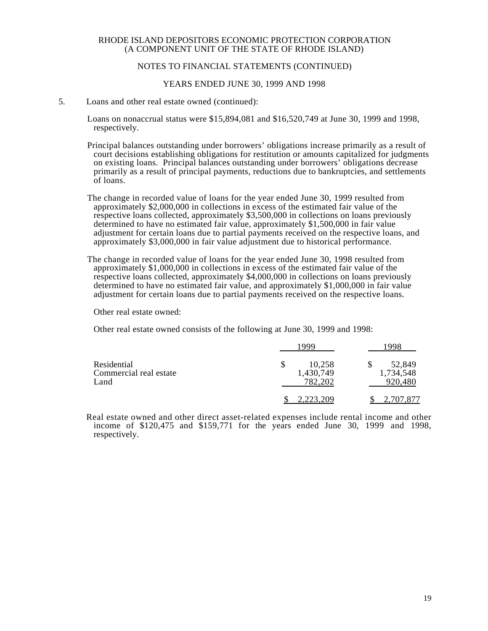## NOTES TO FINANCIAL STATEMENTS (CONTINUED)

#### YEARS ENDED JUNE 30, 1999 AND 1998

#### 5. Loans and other real estate owned (continued):

Loans on nonaccrual status were \$15,894,081 and \$16,520,749 at June 30, 1999 and 1998, respectively.

Principal balances outstanding under borrowers' obligations increase primarily as a result of court decisions establishing obligations for restitution or amounts capitalized for judgments on existing loans. Principal balances outstanding under borrowers' obligations decrease primarily as a result of principal payments, reductions due to bankruptcies, and settlements of loans.

The change in recorded value of loans for the year ended June 30, 1999 resulted from approximately \$2,000,000 in collections in excess of the estimated fair value of the respective loans collected, approximately \$3,500,000 in collections on loans previously determined to have no estimated fair value, approximately \$1,500,000 in fair value adjustment for certain loans due to partial payments received on the respective loans, and approximately \$3,000,000 in fair value adjustment due to historical performance.

The change in recorded value of loans for the year ended June 30, 1998 resulted from approximately \$1,000,000 in collections in excess of the estimated fair value of the respective loans collected, approximately \$4,000,000 in collections on loans previously determined to have no estimated fair value, and approximately \$1,000,000 in fair value adjustment for certain loans due to partial payments received on the respective loans.

Other real estate owned:

Other real estate owned consists of the following at June 30, 1999 and 1998:

|                                               | ooc                            | 998                            |
|-----------------------------------------------|--------------------------------|--------------------------------|
| Residential<br>Commercial real estate<br>Land | 10,258<br>1,430,749<br>782,202 | 52,849<br>1,734,548<br>920,480 |
|                                               | 2,223,209                      | 2,707,877                      |

Real estate owned and other direct asset-related expenses include rental income and other income of \$120,475 and \$159,771 for the years ended June 30, 1999 and 1998, respectively.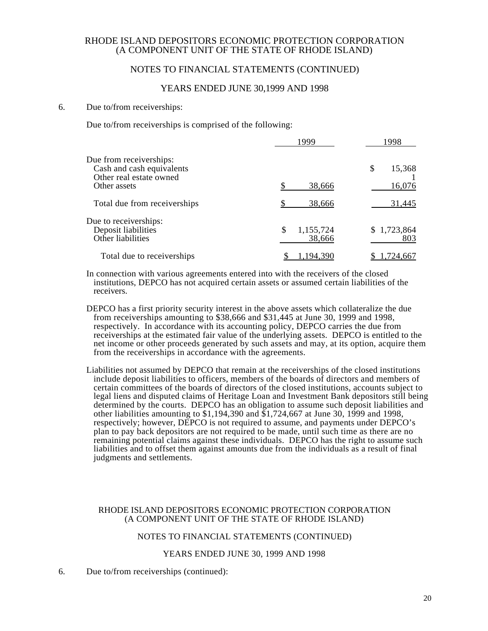## NOTES TO FINANCIAL STATEMENTS (CONTINUED)

### YEARS ENDED JUNE 30,1999 AND 1998

#### 6. Due to/from receiverships:

Due to/from receiverships is comprised of the following:

|                                                                                 | 1999                      | 1998               |
|---------------------------------------------------------------------------------|---------------------------|--------------------|
| Due from receiverships:<br>Cash and cash equivalents<br>Other real estate owned |                           | S<br>15,368        |
| Other assets                                                                    | 38,666                    | 16,076             |
| Total due from receiverships                                                    | 38,666                    | 31,445             |
| Due to receiverships:<br>Deposit liabilities<br>Other liabilities               | \$<br>1,155,724<br>38,666 | \$1,723,864<br>803 |
| Total due to receiverships                                                      | .,194,390                 | 1,724,667          |

In connection with various agreements entered into with the receivers of the closed institutions, DEPCO has not acquired certain assets or assumed certain liabilities of the receivers.

DEPCO has a first priority security interest in the above assets which collateralize the due from receiverships amounting to \$38,666 and \$31,445 at June 30, 1999 and 1998, respectively. In accordance with its accounting policy, DEPCO carries the due from receiverships at the estimated fair value of the underlying assets. DEPCO is entitled to the net income or other proceeds generated by such assets and may, at its option, acquire them from the receiverships in accordance with the agreements.

Liabilities not assumed by DEPCO that remain at the receiverships of the closed institutions include deposit liabilities to officers, members of the boards of directors and members of certain committees of the boards of directors of the closed institutions, accounts subject to legal liens and disputed claims of Heritage Loan and Investment Bank depositors still being determined by the courts. DEPCO has an obligation to assume such deposit liabilities and other liabilities amounting to  $$1,194,390$  and  $$1,724,667$  at June 30, 1999 and 1998, respectively; however, DEPCO is not required to assume, and payments under DEPCO's plan to pay back depositors are not required to be made, until such time as there are no remaining potential claims against these individuals. DEPCO has the right to assume such liabilities and to offset them against amounts due from the individuals as a result of final judgments and settlements.

#### RHODE ISLAND DEPOSITORS ECONOMIC PROTECTION CORPORATION (A COMPONENT UNIT OF THE STATE OF RHODE ISLAND)

#### NOTES TO FINANCIAL STATEMENTS (CONTINUED)

### YEARS ENDED JUNE 30, 1999 AND 1998

6. Due to/from receiverships (continued):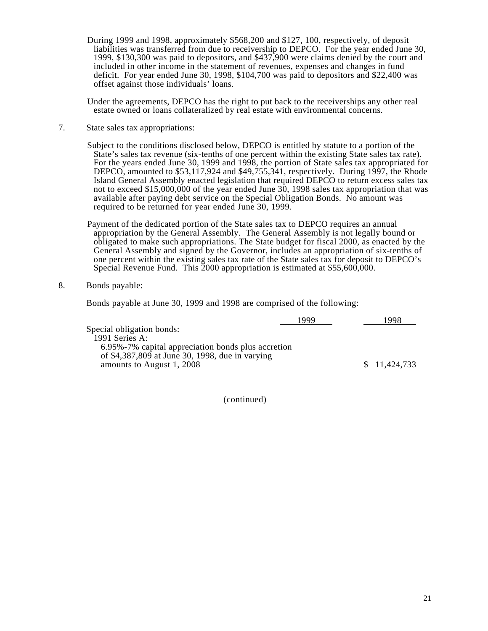During 1999 and 1998, approximately \$568,200 and \$127, 100, respectively, of deposit liabilities was transferred from due to receivership to DEPCO. For the year ended June 30, 1999, \$130,300 was paid to depositors, and \$437,900 were claims denied by the court and included in other income in the statement of revenues, expenses and changes in fund deficit. For year ended June 30, 1998, \$104,700 was paid to depositors and \$22,400 was offset against those individuals' loans.

Under the agreements, DEPCO has the right to put back to the receiverships any other real estate owned or loans collateralized by real estate with environmental concerns.

7. State sales tax appropriations:

Subject to the conditions disclosed below, DEPCO is entitled by statute to a portion of the State's sales tax revenue (six-tenths of one percent within the existing State sales tax rate). For the years ended June 30, 1999 and 1998, the portion of State sales tax appropriated for DEPCO, amounted to  $$53,117,924$  and  $$49,755,341$ , respectively. During  $1997$ , the Rhode Island General Assembly enacted legislation that required DEPCO to return excess sales tax not to exceed \$15,000,000 of the year ended June  $30$ , 1998 sales tax appropriation that was available after paying debt service on the Special Obligation Bonds. No amount was required to be returned for year ended June 30, 1999.

Payment of the dedicated portion of the State sales tax to DEPCO requires an annual appropriation by the General Assembly. The General Assembly is not legally bound or obligated to make such appropriations. The State budget for fiscal 2000, as enacted by the General Assembly and signed by the Governor, includes an appropriation of six-tenths of one percent within the existing sales tax rate of the State sales tax for deposit to DEPCO's Special Revenue Fund. This 2000 appropriation is estimated at \$55,600,000.

8. Bonds payable:

Bonds payable at June 30, 1999 and 1998 are comprised of the following:

|                                                    | 1999 | -998         |
|----------------------------------------------------|------|--------------|
| Special obligation bonds:                          |      |              |
| 1991 Series A:                                     |      |              |
| 6.95%-7% capital appreciation bonds plus accretion |      |              |
| of \$4,387,809 at June 30, 1998, due in varying    |      |              |
| amounts to August 1, 2008                          |      | \$11,424,733 |

(continued)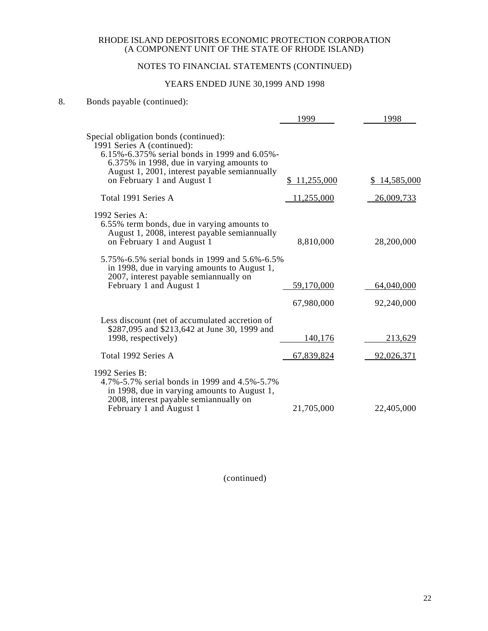# NOTES TO FINANCIAL STATEMENTS (CONTINUED)

# YEARS ENDED JUNE 30,1999 AND 1998

# 8. Bonds payable (continued):

|                                                                                                                                                                                                                                                 | 1999         | 1998         |
|-------------------------------------------------------------------------------------------------------------------------------------------------------------------------------------------------------------------------------------------------|--------------|--------------|
| Special obligation bonds (continued):<br>1991 Series A (continued):<br>6.15%-6.375% serial bonds in 1999 and 6.05%-<br>6.375% in 1998, due in varying amounts to<br>August 1, 2001, interest payable semiannually<br>on February 1 and August 1 | \$11,255,000 | \$14,585,000 |
| Total 1991 Series A                                                                                                                                                                                                                             | 11,255,000   | 26,009,733   |
| 1992 Series A:<br>6.55% term bonds, due in varying amounts to<br>August 1, 2008, interest payable semiannually<br>on February 1 and August 1                                                                                                    | 8,810,000    | 28,200,000   |
| 5.75%-6.5% serial bonds in 1999 and 5.6%-6.5%<br>in 1998, due in varying amounts to August 1,<br>2007, interest payable semiannually on<br>February 1 and August 1                                                                              | 59,170,000   | 64,040,000   |
|                                                                                                                                                                                                                                                 | 67,980,000   | 92,240,000   |
| Less discount (net of accumulated accretion of<br>\$287,095 and \$213,642 at June 30, 1999 and<br>1998, respectively)                                                                                                                           | 140,176      | 213,629      |
| Total 1992 Series A                                                                                                                                                                                                                             | 67,839,824   | 92,026,371   |
| 1992 Series $B$ :<br>4.7%-5.7% serial bonds in 1999 and 4.5%-5.7%<br>in 1998, due in varying amounts to August 1,<br>2008, interest payable semian nually on<br>February 1 and August 1                                                         | 21,705,000   | 22,405,000   |

(continued)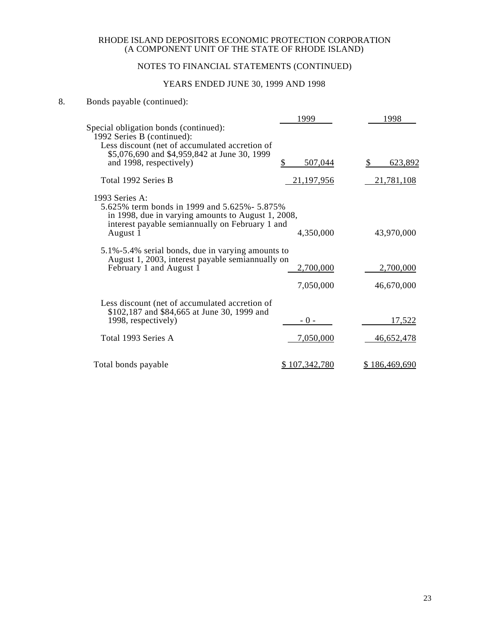# NOTES TO FINANCIAL STATEMENTS (CONTINUED)

# YEARS ENDED JUNE 30, 1999 AND 1998

# 8. Bonds payable (continued):

|                                                                                                                                                                          | 1999          | 1998          |
|--------------------------------------------------------------------------------------------------------------------------------------------------------------------------|---------------|---------------|
| Special obligation bonds (continued):<br>1992 Series B (continued):                                                                                                      |               |               |
| Less discount (net of accumulated accretion of                                                                                                                           |               |               |
| \$5,076,690 and \$4,959,842 at June 30, 1999<br>and 1998, respectively)                                                                                                  | \$<br>507,044 | 623,892       |
| Total 1992 Series B                                                                                                                                                      | 21,197,956    | 21,781,108    |
| 1993 Series A:<br>5.625% term bonds in 1999 and 5.625% - 5.875%<br>in 1998, due in varying amounts to August 1, 2008,<br>interest payable semiannually on February 1 and |               |               |
| August 1                                                                                                                                                                 | 4,350,000     | 43,970,000    |
| 5.1%-5.4% serial bonds, due in varying amounts to<br>August 1, 2003, interest payable semiannually on                                                                    |               |               |
| February 1 and August 1                                                                                                                                                  | 2,700,000     | 2,700,000     |
|                                                                                                                                                                          | 7,050,000     | 46,670,000    |
| Less discount (net of accumulated accretion of<br>\$102,187 and \$84,665 at June 30, 1999 and                                                                            |               |               |
| 1998, respectively)                                                                                                                                                      | $-0-$         | 17,522        |
| Total 1993 Series A                                                                                                                                                      | 7,050,000     | 46,652,478    |
| Total bonds payable                                                                                                                                                      | \$107.342.780 | \$186,469,690 |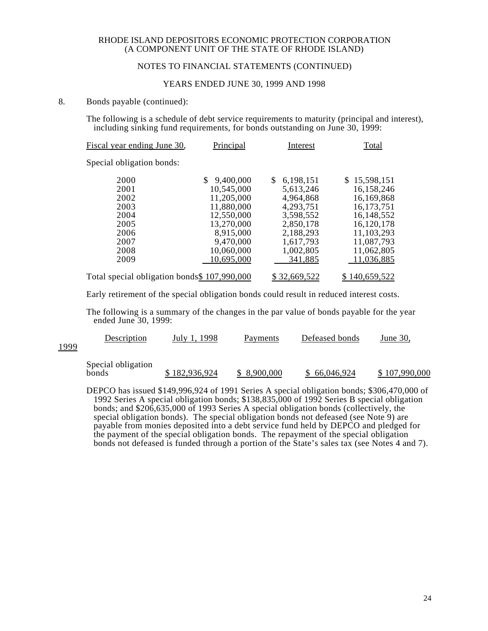### NOTES TO FINANCIAL STATEMENTS (CONTINUED)

#### YEARS ENDED JUNE 30, 1999 AND 1998

#### 8. Bonds payable (continued):

The following is a schedule of debt service requirements to maturity (principal and interest), including sinking fund requirements, for bonds outstanding on June 30, 1999:

| Fiscal year ending June 30,                  | <b>Principal</b> | Interest        | Total         |
|----------------------------------------------|------------------|-----------------|---------------|
| Special obligation bonds:                    |                  |                 |               |
| 2000                                         | 9,400,000        | 6,198,151<br>\$ | \$15,598,151  |
| 2001                                         | 10,545,000       | 5,613,246       | 16,158,246    |
| 2002                                         | 11,205,000       | 4,964,868       | 16,169,868    |
| 2003                                         | 11,880,000       | 4,293,751       | 16, 173, 751  |
| 2004                                         | 12,550,000       | 3,598,552       | 16, 148, 552  |
| 2005                                         | 13,270,000       | 2,850,178       | 16,120,178    |
| 2006                                         | 8,915,000        | 2,188,293       | 11,103,293    |
| 2007                                         | 9,470,000        | 1,617,793       | 11,087,793    |
| 2008                                         | 10,060,000       | 1,002,805       | 11,062,805    |
| 2009                                         | 10,695,000       | 341,885         | 11,036,885    |
| Total special obligation bonds\$ 107,990,000 |                  | \$32,669,522    | \$140,659,522 |

Early retirement of the special obligation bonds could result in reduced interest costs.

The following is a summary of the changes in the par value of bonds payable for the year ended June 30, 1999:

| 1999 | Description                 | July 1, 1998  | Payments    | Defeased bonds | June 30.      |
|------|-----------------------------|---------------|-------------|----------------|---------------|
|      | Special obligation<br>bonds | \$182,936,924 | \$8,900,000 | 66,046,924     | \$107,990,000 |

DEPCO has issued \$149,996,924 of 1991 Series A special obligation bonds; \$306,470,000 of 1992 Series A special obligation bonds; \$138,835,000 of 1992 Series B special obligation bonds; and \$206,635,000 of 1993 Series A special obligation bonds (collectively, the special obligation bonds). The special obligation bonds not defeased (see Note 9) are payable from monies deposited into a debt service fund held by DEPCO and pledged for the payment of the special obligation bonds. The repayment of the special obligation bonds not defeased is funded through a portion of the State's sales tax (see Notes 4 and 7).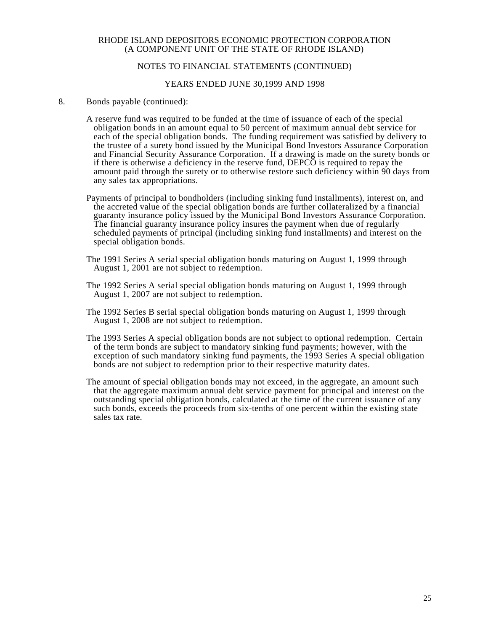## NOTES TO FINANCIAL STATEMENTS (CONTINUED)

#### YEARS ENDED JUNE 30,1999 AND 1998

- 8. Bonds payable (continued):
	- A reserve fund was required to be funded at the time of issuance of each of the special obligation bonds in an amount equal to 50 percent of maximum annual debt service for each of the special obligation bonds. The funding requirement was satisfied by delivery to the trustee of a surety bond issued by the Municipal Bond Investors Assurance Corporation and Financial Security Assurance Corporation. If a drawing is made on the surety bonds or if there is otherwise a deficiency in the reserve fund, DEPCO is required to repay the amount paid through the surety or to otherwise restore such deficiency within 90 days from any sales tax appropriations.
	- Payments of principal to bondholders (including sinking fund installments), interest on, and the accreted value of the special obligation bonds are further collateralized by a financial guaranty insurance policy issued by the Municipal Bond Investors Assurance Corporation. The financial guaranty insurance policy insures the payment when due of regularly scheduled payments of principal (including sinking fund installments) and interest on the special obligation bonds.
	- The 1991 Series A serial special obligation bonds maturing on August 1, 1999 through August 1, 2001 are not subject to redemption.
	- The 1992 Series A serial special obligation bonds maturing on August 1, 1999 through August 1, 2007 are not subject to redemption.
	- The 1992 Series B serial special obligation bonds maturing on August 1, 1999 through August 1, 2008 are not subject to redemption.
	- The 1993 Series A special obligation bonds are not subject to optional redemption. Certain of the term bonds are subject to mandatory sinking fund payments; however, with the exception of such mandatory sinking fund payments, the 1993 Series A special obligation bonds are not subject to redemption prior to their respective maturity dates.
	- The amount of special obligation bonds may not exceed, in the aggregate, an amount such that the aggregate maximum annual debt service payment for principal and interest on the outstanding special obligation bonds, calculated at the time of the current issuance of any such bonds, exceeds the proceeds from six-tenths of one percent within the existing state sales tax rate.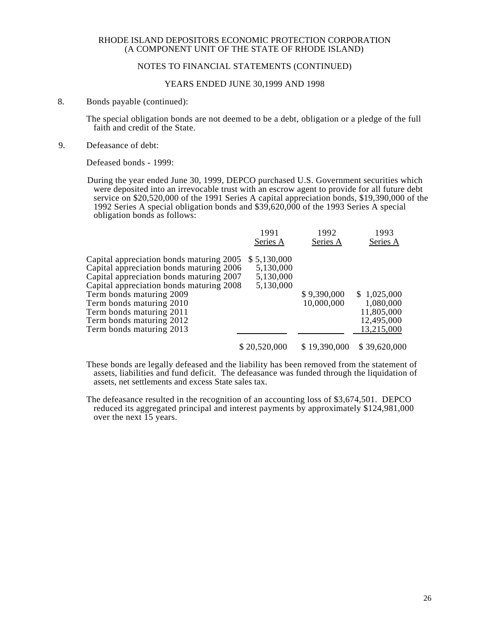## NOTES TO FINANCIAL STATEMENTS (CONTINUED)

#### YEARS ENDED JUNE 30,1999 AND 1998

8. Bonds payable (continued):

The special obligation bonds are not deemed to be a debt, obligation or a pledge of the full faith and credit of the State.

9. Defeasance of debt:

Defeased bonds - 1999:

During the year ended June 30, 1999, DEPCO purchased U.S. Government securities which were deposited into an irrevocable trust with an escrow agent to provide for all future debt service on \$20,520,000 of the 1991 Series A capital appreciation bonds, \$19,390,000 of the 1992 Series A special obligation bonds and \$39,620,000 of the 1993 Series A special obligation bonds as follows:

|                                                                                                                                                                                                                                                                                                                          | 1991<br>Series A                                   | 1992<br>Series A          | 1993<br>Series A                                                   |
|--------------------------------------------------------------------------------------------------------------------------------------------------------------------------------------------------------------------------------------------------------------------------------------------------------------------------|----------------------------------------------------|---------------------------|--------------------------------------------------------------------|
| Capital appreciation bonds maturing 2005<br>Capital appreciation bonds maturing 2006<br>Capital appreciation bonds maturing 2007<br>Capital appreciation bonds maturing 2008<br>Term bonds maturing 2009<br>Term bonds maturing 2010<br>Term bonds maturing 2011<br>Term bonds maturing 2012<br>Term bonds maturing 2013 | \$5,130,000<br>5,130,000<br>5,130,000<br>5,130,000 | \$9,390,000<br>10,000,000 | \$1,025,000<br>1,080,000<br>11,805,000<br>12,495,000<br>13,215,000 |
|                                                                                                                                                                                                                                                                                                                          | \$20,520,000                                       | \$19,390,000              | \$39,620,000                                                       |

These bonds are legally defeased and the liability has been removed from the statement of assets, liabilities and fund deficit. The defeasance was funded through the liquidation of assets, net settlements and excess State sales tax.

The defeasance resulted in the recognition of an accounting loss of \$3,674,501. DEPCO reduced its aggregated principal and interest payments by approximately \$124,981,000 over the next 15 years.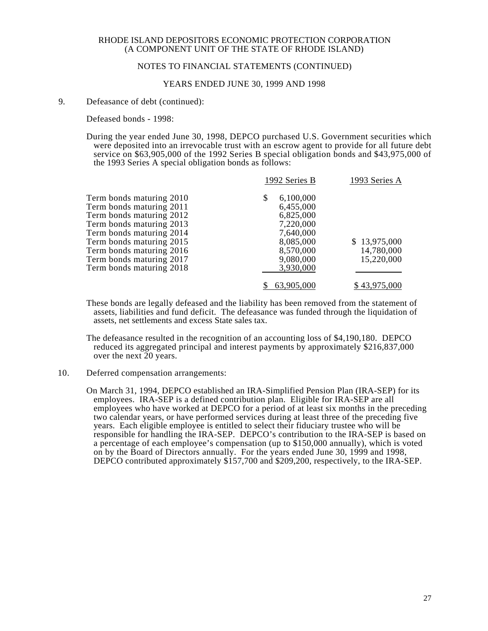## NOTES TO FINANCIAL STATEMENTS (CONTINUED)

#### YEARS ENDED JUNE 30, 1999 AND 1998

#### 9. Defeasance of debt (continued):

Defeased bonds - 1998:

During the year ended June 30, 1998, DEPCO purchased U.S. Government securities which were deposited into an irrevocable trust with an escrow agent to provide for all future debt service on \$63,905,000 of the 1992 Series B special obligation bonds and \$43,975,000 of the 1993 Series A special obligation bonds as follows:

|                          | 1992 Series B   | 1993 Series A |
|--------------------------|-----------------|---------------|
| Term bonds maturing 2010 | 6,100,000<br>\$ |               |
| Term bonds maturing 2011 | 6,455,000       |               |
| Term bonds maturing 2012 | 6,825,000       |               |
| Term bonds maturing 2013 | 7,220,000       |               |
| Term bonds maturing 2014 | 7,640,000       |               |
| Term bonds maturing 2015 | 8,085,000       | \$13,975,000  |
| Term bonds maturing 2016 | 8,570,000       | 14,780,000    |
| Term bonds maturing 2017 | 9,080,000       | 15,220,000    |
| Term bonds maturing 2018 | 3,930,000       |               |
|                          | 63,905,000      | \$43,975,000  |

These bonds are legally defeased and the liability has been removed from the statement of assets, liabilities and fund deficit. The defeasance was funded through the liquidation of assets, net settlements and excess State sales tax.

The defeasance resulted in the recognition of an accounting loss of \$4,190,180. DEPCO reduced its aggregated principal and interest payments by approximately \$216,837,000 over the next 20 years.

#### 10. Deferred compensation arrangements:

On March 31, 1994, DEPCO established an IRA-Simplified Pension Plan (IRA-SEP) for its employees. IRA-SEP is a defined contribution plan. Eligible for IRA-SEP are all employees who have worked at DEPCO for a period of at least six months in the preceding two calendar years, or have performed services during at least three of the preceding five years. Each eligible employee is entitled to select their fiduciary trustee who will be responsible for handling the IRA-SEP. DEPCO's contribution to the IRA-SEP is based on a percentage of each employee's compensation (up to \$150,000 annually), which is voted on by the Board of Directors annually. For the years ended June 30, 1999 and 1998, DEPCO contributed approximately \$157,700 and \$209,200, respectively, to the IRA-SEP.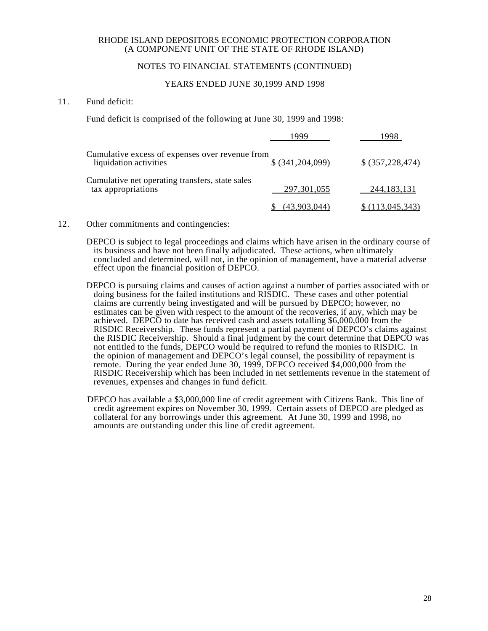## NOTES TO FINANCIAL STATEMENTS (CONTINUED)

### YEARS ENDED JUNE 30,1999 AND 1998

## 11. Fund deficit:

Fund deficit is comprised of the following at June 30, 1999 and 1998:

| Cumulative excess of expenses over revenue from<br>liquidation activities | \$ (341, 204, 099) | \$ (357, 228, 474) |
|---------------------------------------------------------------------------|--------------------|--------------------|
| Cumulative net operating transfers, state sales<br>tax appropriations     | 297, 301, 055      | 244, 183, 131      |
|                                                                           | (43,903,044)       | \$(113,045,343)    |

## 12. Other commitments and contingencies:

DEPCO is subject to legal proceedings and claims which have arisen in the ordinary course of its business and have not been finally adjudicated. These actions, when ultimately concluded and determined, will not, in the opinion of management, have a material adverse effect upon the financial position of DEPCO.

- DEPCO is pursuing claims and causes of action against a number of parties associated with or doing business for the failed institutions and RISDIC. These cases and other potential claims are currently being investigated and will be pursued by DEPCO; however, no estimates can be given with respect to the amount of the recoveries, if any, which may be achieved. DEPCO to date has received cash and assets totalling \$6,000,000 from the RISDIC Receivership. These funds represent a partial payment of DEPCO's claims against the RISDIC Receivership. Should a final judgment by the court determine that DEPCO was not entitled to the funds, DEPCO would be required to refund the monies to RISDIC. In the opinion of management and DEPCO's legal counsel, the possibility of repayment is remote. During the year ended June 30, 1999, DEPCO received \$4,000,000 from the RISDIC Receivership which has been included in net settlements revenue in the statement of revenues, expenses and changes in fund deficit.
- DEPCO has available a \$3,000,000 line of credit agreement with Citizens Bank. This line of credit agreement expires on November 30, 1999. Certain assets of DEPCO are pledged as collateral for any borrowings under this agreement. At June 30, 1999 and 1998, no amounts are outstanding under this line of credit agreement.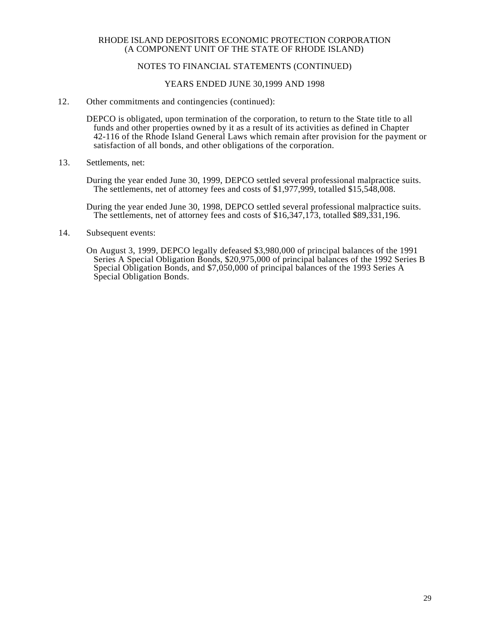## NOTES TO FINANCIAL STATEMENTS (CONTINUED)

#### YEARS ENDED JUNE 30,1999 AND 1998

#### 12. Other commitments and contingencies (continued):

DEPCO is obligated, upon termination of the corporation, to return to the State title to all funds and other properties owned by it as a result of its activities as defined in Chapter 42-116 of the Rhode Island General Laws which remain after provision for the payment or satisfaction of all bonds, and other obligations of the corporation.

13. Settlements, net:

During the year ended June 30, 1999, DEPCO settled several professional malpractice suits. The settlements, net of attorney fees and costs of \$1,977,999, totalled \$15,548,008.

During the year ended June 30, 1998, DEPCO settled several professional malpractice suits. The settlements, net of attorney fees and costs of \$16,347,173, totalled \$89,331,196.

14. Subsequent events:

On August 3, 1999, DEPCO legally defeased \$3,980,000 of principal balances of the 1991 Series A Special Obligation Bonds, \$20,975,000 of principal balances of the 1992 Series B Special Obligation Bonds, and \$7,050,000 of principal balances of the 1993 Series A Special Obligation Bonds.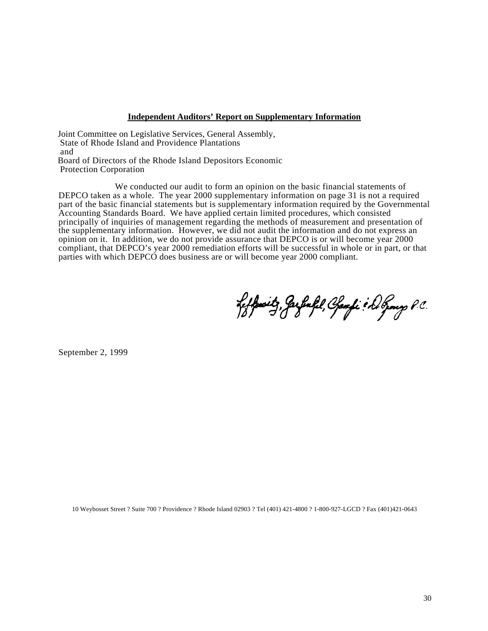#### **Independent Auditors' Report on Supplementary Information**

Joint Committee on Legislative Services, General Assembly, State of Rhode Island and Providence Plantations and Board of Directors of the Rhode Island Depositors Economic Protection Corporation

We conducted our audit to form an opinion on the basic financial statements of DEPCO taken as a whole. The year 2000 supplementary information on page 31 is not a required part of the basic financial statements but is supplementary information required by the Governmental Accounting Standards Board. We have applied certain limited procedures, which consisted principally of inquiries of management regarding the methods of measurement and presentation of the supplementary information. However, we did not audit the information and do not express an opinion on it. In addition, we do not provide assurance that DEPCO is or will become year 2000 compliant, that DEPCO's year 2000 remediation efforts will be successful in whole or in part, or that parties with which DEPCO does business are or will become year 2000 compliant.

feffenitz, Jarfinfil, Chamfi & Do Genery P.C.

September 2, 1999

10 Weybosset Street ? Suite 700 ? Providence ? Rhode Island 02903 ? Tel (401) 421-4800 ? 1-800-927-LGCD ? Fax (401)421-0643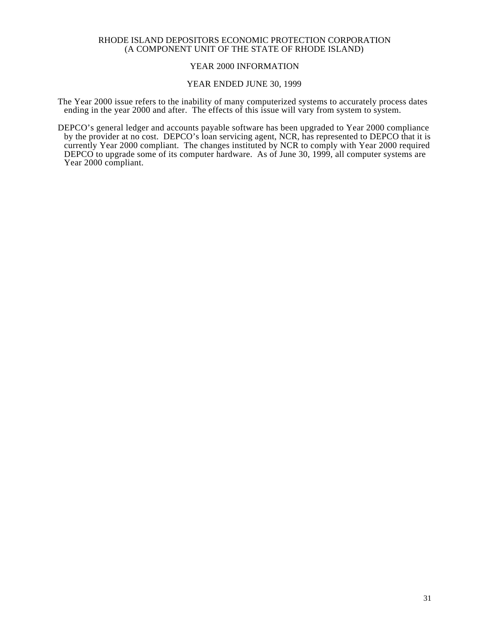## YEAR 2000 INFORMATION

#### YEAR ENDED JUNE 30, 1999

The Year 2000 issue refers to the inability of many computerized systems to accurately process dates ending in the year 2000 and after. The effects of this issue will vary from system to system.

DEPCO's general ledger and accounts payable software has been upgraded to Year 2000 compliance by the provider at no cost. DEPCO's loan servicing agent, NCR, has represented to DEPCO that it is currently Year 2000 compliant. The changes instituted by NCR to comply with Year 2000 required DEPCO to upgrade some of its computer hardware. As of June 30, 1999, all computer systems are Year 2000 compliant.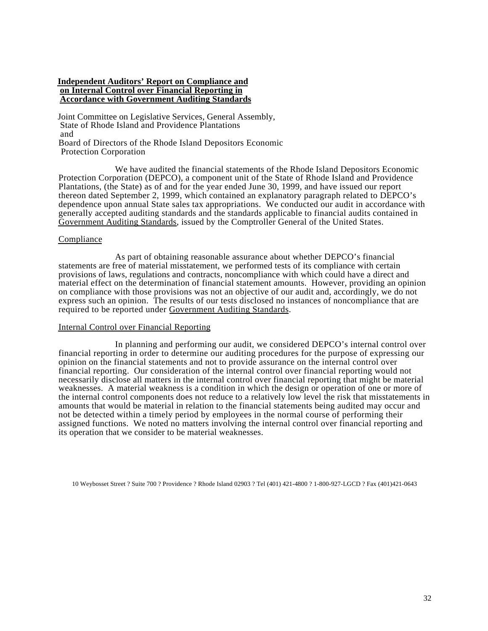#### **Independent Auditors' Report on Compliance and on Internal Control over Financial Reporting in Accordance with Government Auditing Standards**

Joint Committee on Legislative Services, General Assembly, State of Rhode Island and Providence Plantations and Board of Directors of the Rhode Island Depositors Economic Protection Corporation

We have audited the financial statements of the Rhode Island Depositors Economic Protection Corporation (DEPCO), a component unit of the State of Rhode Island and Providence Plantations, (the State) as of and for the year ended June 30, 1999, and have issued our report thereon dated September 2, 1999, which contained an explanatory paragraph related to DEPCO's dependence upon annual State sales tax appropriations. We conducted our audit in accordance with generally accepted auditing standards and the standards applicable to financial audits contained in Government Auditing Standards, issued by the Comptroller General of the United States.

#### Compliance

As part of obtaining reasonable assurance about whether DEPCO's financial statements are free of material misstatement, we performed tests of its compliance with certain provisions of laws, regulations and contracts, noncompliance with which could have a direct and material effect on the determination of financial statement amounts. However, providing an opinion on compliance with those provisions was not an objective of our audit and, accordingly, we do not express such an opinion. The results of our tests disclosed no instances of noncompliance that are required to be reported under Government Auditing Standards.

#### Internal Control over Financial Reporting

In planning and performing our audit, we considered DEPCO's internal control over financial reporting in order to determine our auditing procedures for the purpose of expressing our opinion on the financial statements and not to provide assurance on the internal control over financial reporting. Our consideration of the internal control over financial reporting would not necessarily disclose all matters in the internal control over financial reporting that might be material weaknesses. A material weakness is a condition in which the design or operation of one or more of the internal control components does not reduce to a relatively low level the risk that misstatements in amounts that would be material in relation to the financial statements being audited may occur and not be detected within a timely period by employees in the normal course of performing their assigned functions. We noted no matters involving the internal control over financial reporting and its operation that we consider to be material weaknesses.

10 Weybosset Street ? Suite 700 ? Providence ? Rhode Island 02903 ? Tel (401) 421-4800 ? 1-800-927-LGCD ? Fax (401)421-0643